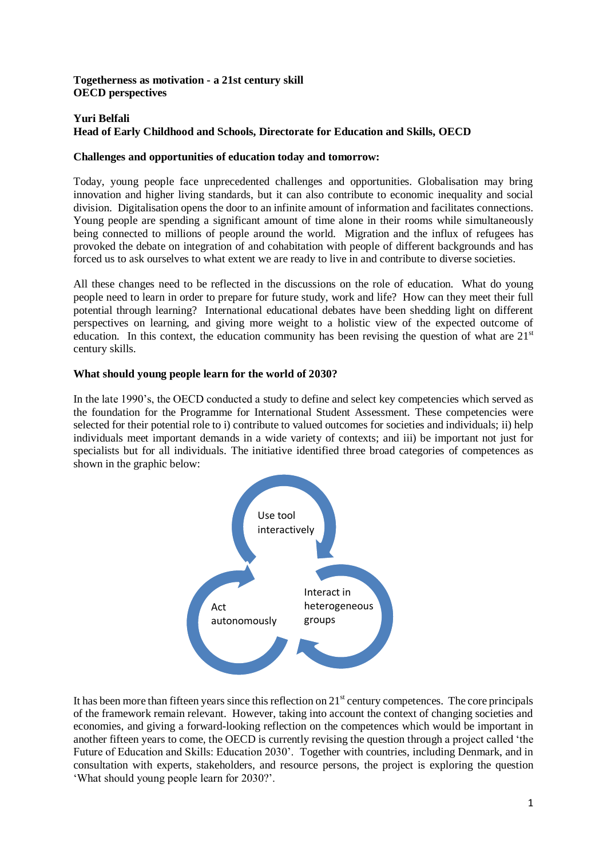### **Togetherness as motivation - a 21st century skill OECD perspectives**

# **Yuri Belfali Head of Early Childhood and Schools, Directorate for Education and Skills, OECD**

### **Challenges and opportunities of education today and tomorrow:**

Today, young people face unprecedented challenges and opportunities. Globalisation may bring innovation and higher living standards, but it can also contribute to economic inequality and social division. Digitalisation opens the door to an infinite amount of information and facilitates connections. Young people are spending a significant amount of time alone in their rooms while simultaneously being connected to millions of people around the world. Migration and the influx of refugees has provoked the debate on integration of and cohabitation with people of different backgrounds and has forced us to ask ourselves to what extent we are ready to live in and contribute to diverse societies.

All these changes need to be reflected in the discussions on the role of education. What do young people need to learn in order to prepare for future study, work and life? How can they meet their full potential through learning? International educational debates have been shedding light on different perspectives on learning, and giving more weight to a holistic view of the expected outcome of education. In this context, the education community has been revising the question of what are  $21<sup>st</sup>$ century skills.

## **What should young people learn for the world of 2030?**

In the late 1990's, the OECD conducted a study to define and select key competencies which served as the foundation for the Programme for International Student Assessment. These competencies were selected for their potential role to i) contribute to valued outcomes for societies and individuals; ii) help individuals meet important demands in a wide variety of contexts; and iii) be important not just for specialists but for all individuals. The initiative identified three broad categories of competences as shown in the graphic below:



It has been more than fifteen years since this reflection on  $21<sup>st</sup>$  century competences. The core principals of the framework remain relevant. However, taking into account the context of changing societies and economies, and giving a forward-looking reflection on the competences which would be important in another fifteen years to come, the OECD is currently revising the question through a project called 'the Future of Education and Skills: Education 2030'. Together with countries, including Denmark, and in consultation with experts, stakeholders, and resource persons, the project is exploring the question 'What should young people learn for 2030?'.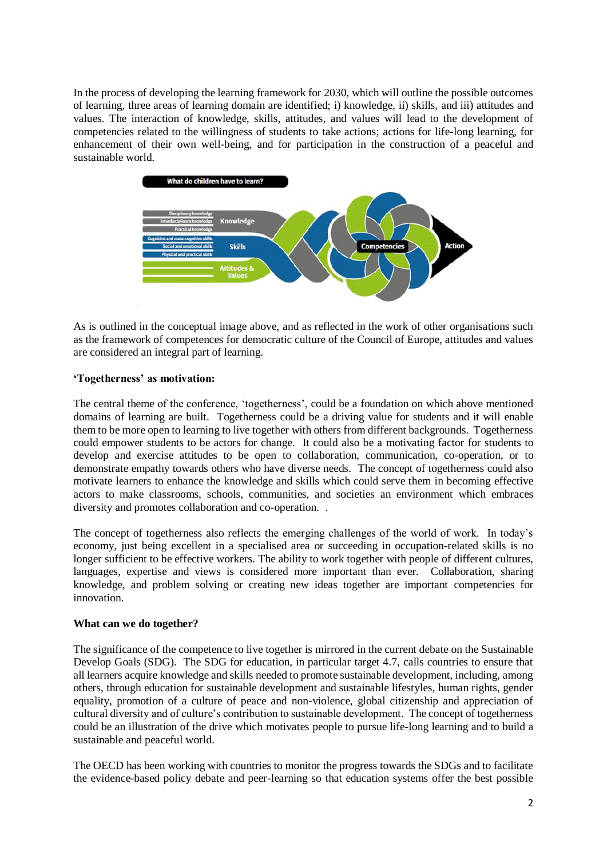In the process of developing the learning framework for 2030, which will outline the possible outcomes of learning, three areas of learning domain are identified; i) knowledge, ii) skills, and iii) attitudes and values. The interaction of knowledge, skills, attitudes, and values will lead to the development of competencies related to the willingness of students to take actions; actions for life-long learning, for enhancement of their own well-being, and for participation in the construction of a peaceful and sustainable world.



As is outlined in the conceptual image above, and as reflected in the work of other organisations such as the framework of competences for democratic culture of the Council of Europe, attitudes and values are considered an integral part of learning.

### **'Togetherness' as motivation:**

The central theme of the conference, 'togetherness', could be a foundation on which above mentioned domains of learning are built. Togetherness could be a driving value for students and it will enable them to be more open to learning to live together with others from different backgrounds. Togetherness could empower students to be actors for change. It could also be a motivating factor for students to develop and exercise attitudes to be open to collaboration, communication, co-operation, or to demonstrate empathy towards others who have diverse needs. The concept of togetherness could also motivate learners to enhance the knowledge and skills which could serve them in becoming effective actors to make classrooms, schools, communities, and societies an environment which embraces diversity and promotes collaboration and co-operation. .

The concept of togetherness also reflects the emerging challenges of the world of work. In today's economy, just being excellent in a specialised area or succeeding in occupation-related skills is no longer sufficient to be effective workers. The ability to work together with people of different cultures, languages, expertise and views is considered more important than ever. Collaboration, sharing knowledge, and problem solving or creating new ideas together are important competencies for innovation.

### **What can we do together?**

The significance of the competence to live together is mirrored in the current debate on the Sustainable Develop Goals (SDG). The SDG for education, in particular target 4.7, calls countries to ensure that all learners acquire knowledge and skills needed to promote sustainable development, including, among others, through education for sustainable development and sustainable lifestyles, human rights, gender equality, promotion of a culture of peace and non-violence, global citizenship and appreciation of cultural diversity and of culture's contribution to sustainable development. The concept of togetherness could be an illustration of the drive which motivates people to pursue life-long learning and to build a sustainable and peaceful world.

The OECD has been working with countries to monitor the progress towards the SDGs and to facilitate the evidence-based policy debate and peer-learning so that education systems offer the best possible